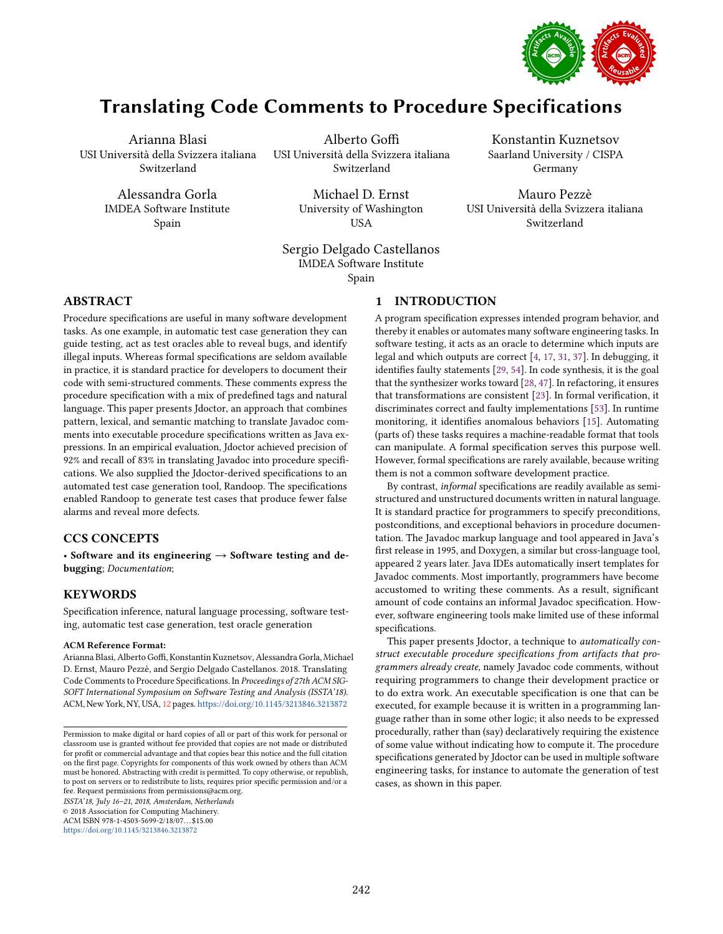

# Translating Code Comments to Procedure Specifications

Arianna Blasi USI Università della Svizzera italiana Switzerland

> Alessandra Gorla IMDEA Software Institute Spain

Alberto Goffi USI Università della Svizzera italiana Switzerland

> Michael D. Ernst University of Washington USA

Konstantin Kuznetsov Saarland University / CISPA Germany

Mauro Pezzè USI Università della Svizzera italiana Switzerland

Sergio Delgado Castellanos IMDEA Software Institute Spain

# <span id="page-0-0"></span>1 INTRODUCTION

Procedure specifications are useful in many software development tasks. As one example, in automatic test case generation they can guide testing, act as test oracles able to reveal bugs, and identify illegal inputs. Whereas formal specifications are seldom available in practice, it is standard practice for developers to document their code with semi-structured comments. These comments express the procedure specification with a mix of predefined tags and natural language. This paper presents Jdoctor, an approach that combines pattern, lexical, and semantic matching to translate Javadoc comments into executable procedure specifications written as Java expressions. In an empirical evaluation, Jdoctor achieved precision of 92% and recall of 83% in translating Javadoc into procedure specifications. We also supplied the Jdoctor-derived specifications to an automated test case generation tool, Randoop. The specifications enabled Randoop to generate test cases that produce fewer false alarms and reveal more defects.

# CCS CONCEPTS

• Software and its engineering  $\rightarrow$  Software testing and debugging; Documentation;

# **KEYWORDS**

ABSTRACT

Specification inference, natural language processing, software testing, automatic test case generation, test oracle generation

#### ACM Reference Format:

Arianna Blasi, Alberto Goffi, Konstantin Kuznetsov, Alessandra Gorla, Michael D. Ernst, Mauro Pezzè, and Sergio Delgado Castellanos. 2018. Translating Code Comments to Procedure Specifications. In Proceedings of 27th ACM SIG-SOFT International Symposium on Software Testing and Analysis (ISSTA'18). ACM, New York, NY, USA, [12](#page-11-0) pages. <https://doi.org/10.1145/3213846.3213872>

ISSTA'18, July 16-21, 2018, Amsterdam, Netherlands

© 2018 Association for Computing Machinery.

ACM ISBN 978-1-4503-5699-2/18/07...\$15.00 <https://doi.org/10.1145/3213846.3213872>

A program specification expresses intended program behavior, and thereby it enables or automates many software engineering tasks. In software testing, it acts as an oracle to determine which inputs are legal and which outputs are correct [\[4,](#page-10-0) [17,](#page-10-1) [31,](#page-10-2) [37\]](#page-10-3). In debugging, it identifies faulty statements [\[29,](#page-10-4) [54\]](#page-11-1). In code synthesis, it is the goal that the synthesizer works toward [\[28,](#page-10-5) [47\]](#page-11-2). In refactoring, it ensures that transformations are consistent [\[23\]](#page-10-6). In formal verification, it discriminates correct and faulty implementations [\[53\]](#page-11-3). In runtime monitoring, it identifies anomalous behaviors [\[15\]](#page-10-7). Automating (parts of) these tasks requires a machine-readable format that tools can manipulate. A formal specification serves this purpose well. However, formal specifications are rarely available, because writing them is not a common software development practice.

By contrast, informal specifications are readily available as semistructured and unstructured documents written in natural language. It is standard practice for programmers to specify preconditions, postconditions, and exceptional behaviors in procedure documentation. The Javadoc markup language and tool appeared in Java's first release in 1995, and Doxygen, a similar but cross-language tool, appeared 2 years later. Java IDEs automatically insert templates for Javadoc comments. Most importantly, programmers have become accustomed to writing these comments. As a result, significant amount of code contains an informal Javadoc specification. However, software engineering tools make limited use of these informal specifications.

This paper presents Jdoctor, a technique to *automatically con*struct executable procedure specifications from artifacts that programmers already create, namely Javadoc code comments, without requiring programmers to change their development practice or to do extra work. An executable specification is one that can be executed, for example because it is written in a programming language rather than in some other logic; it also needs to be expressed procedurally, rather than (say) declaratively requiring the existence of some value without indicating how to compute it. The procedure specifications generated by Jdoctor can be used in multiple software engineering tasks, for instance to automate the generation of test cases, as shown in this paper.

Permission to make digital or hard copies of all or part of this work for personal or classroom use is granted without fee provided that copies are not made or distributed for profit or commercial advantage and that copies bear this notice and the full citation on the first page. Copyrights for components of this work owned by others than ACM must be honored. Abstracting with credit is permitted. To copy otherwise, or republish, to post on servers or to redistribute to lists, requires prior specific permission and/or a fee. Request permissions from permissions@acm.org.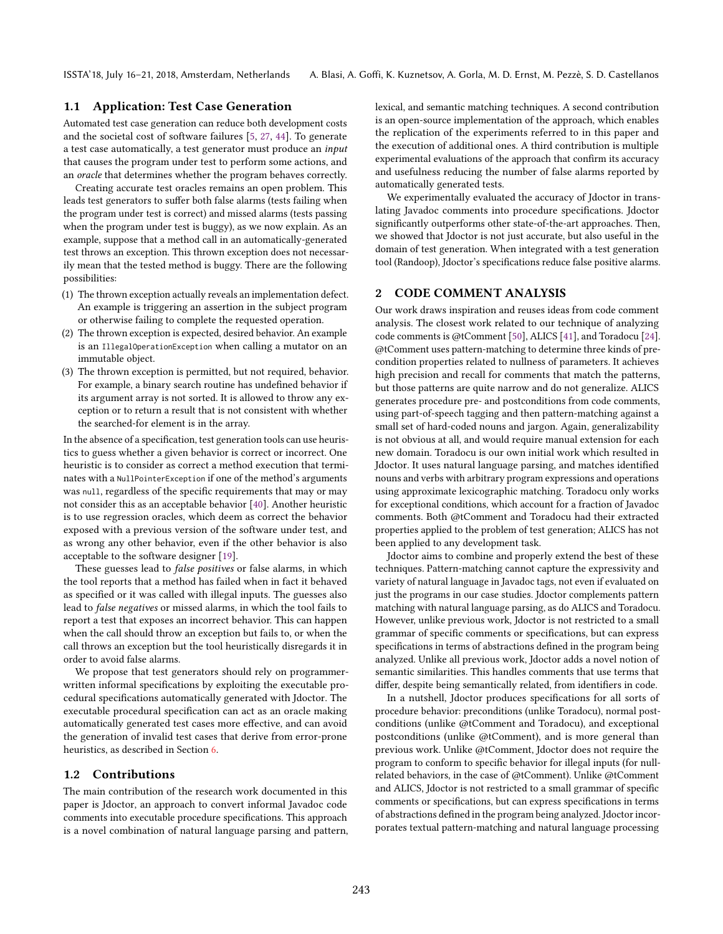# 1.1 Application: Test Case Generation

Automated test case generation can reduce both development costs and the societal cost of software failures [\[5,](#page-10-8) [27,](#page-10-9) [44\]](#page-10-10). To generate a test case automatically, a test generator must produce an input that causes the program under test to perform some actions, and an oracle that determines whether the program behaves correctly.

Creating accurate test oracles remains an open problem. This leads test generators to suffer both false alarms (tests failing when the program under test is correct) and missed alarms (tests passing when the program under test is buggy), as we now explain. As an example, suppose that a method call in an automatically-generated test throws an exception. This thrown exception does not necessarily mean that the tested method is buggy. There are the following possibilities:

- (1) The thrown exception actually reveals an implementation defect. An example is triggering an assertion in the subject program or otherwise failing to complete the requested operation.
- (2) The thrown exception is expected, desired behavior. An example is an IllegalOperationException when calling a mutator on an immutable object.
- (3) The thrown exception is permitted, but not required, behavior. For example, a binary search routine has undefined behavior if its argument array is not sorted. It is allowed to throw any exception or to return a result that is not consistent with whether the searched-for element is in the array.

In the absence of a specification, test generation tools can use heuristics to guess whether a given behavior is correct or incorrect. One heuristic is to consider as correct a method execution that terminates with a NullPointerException if one of the method's arguments was null, regardless of the specific requirements that may or may not consider this as an acceptable behavior [\[40\]](#page-10-11). Another heuristic is to use regression oracles, which deem as correct the behavior exposed with a previous version of the software under test, and as wrong any other behavior, even if the other behavior is also acceptable to the software designer [\[19\]](#page-10-12).

These guesses lead to *false positives* or false alarms, in which the tool reports that a method has failed when in fact it behaved as specified or it was called with illegal inputs. The guesses also lead to false negatives or missed alarms, in which the tool fails to report a test that exposes an incorrect behavior. This can happen when the call should throw an exception but fails to, or when the call throws an exception but the tool heuristically disregards it in order to avoid false alarms.

We propose that test generators should rely on programmerwritten informal specifications by exploiting the executable procedural specifications automatically generated with Jdoctor. The executable procedural specification can act as an oracle making automatically generated test cases more effective, and can avoid the generation of invalid test cases that derive from error-prone heuristics, as described in Section [6.](#page-7-0)

#### 1.2 Contributions

The main contribution of the research work documented in this paper is Jdoctor, an approach to convert informal Javadoc code comments into executable procedure specifications. This approach is a novel combination of natural language parsing and pattern, lexical, and semantic matching techniques. A second contribution is an open-source implementation of the approach, which enables the replication of the experiments referred to in this paper and the execution of additional ones. A third contribution is multiple experimental evaluations of the approach that confirm its accuracy and usefulness reducing the number of false alarms reported by automatically generated tests.

We experimentally evaluated the accuracy of Jdoctor in translating Javadoc comments into procedure specifications. Jdoctor significantly outperforms other state-of-the-art approaches. Then, we showed that Jdoctor is not just accurate, but also useful in the domain of test generation. When integrated with a test generation tool (Randoop), Jdoctor's specifications reduce false positive alarms.

# <span id="page-1-0"></span>2 CODE COMMENT ANALYSIS

Our work draws inspiration and reuses ideas from code comment analysis. The closest work related to our technique of analyzing code comments is @tComment [\[50\]](#page-11-4), ALICS [\[41\]](#page-10-13), and Toradocu [\[24\]](#page-10-14). @tComment uses pattern-matching to determine three kinds of precondition properties related to nullness of parameters. It achieves high precision and recall for comments that match the patterns, but those patterns are quite narrow and do not generalize. ALICS generates procedure pre- and postconditions from code comments, using part-of-speech tagging and then pattern-matching against a small set of hard-coded nouns and jargon. Again, generalizability is not obvious at all, and would require manual extension for each new domain. Toradocu is our own initial work which resulted in Jdoctor. It uses natural language parsing, and matches identified nouns and verbs with arbitrary program expressions and operations using approximate lexicographic matching. Toradocu only works for exceptional conditions, which account for a fraction of Javadoc comments. Both @tComment and Toradocu had their extracted properties applied to the problem of test generation; ALICS has not been applied to any development task.

Jdoctor aims to combine and properly extend the best of these techniques. Pattern-matching cannot capture the expressivity and variety of natural language in Javadoc tags, not even if evaluated on just the programs in our case studies. Jdoctor complements pattern matching with natural language parsing, as do ALICS and Toradocu. However, unlike previous work, Jdoctor is not restricted to a small grammar of specific comments or specifications, but can express specifications in terms of abstractions defined in the program being analyzed. Unlike all previous work, Jdoctor adds a novel notion of semantic similarities. This handles comments that use terms that differ, despite being semantically related, from identifiers in code.

In a nutshell, Jdoctor produces specifications for all sorts of procedure behavior: preconditions (unlike Toradocu), normal postconditions (unlike @tComment and Toradocu), and exceptional postconditions (unlike @tComment), and is more general than previous work. Unlike @tComment, Jdoctor does not require the program to conform to specific behavior for illegal inputs (for nullrelated behaviors, in the case of @tComment). Unlike @tComment and ALICS, Jdoctor is not restricted to a small grammar of specific comments or specifications, but can express specifications in terms of abstractions defined in the program being analyzed. Jdoctor incorporates textual pattern-matching and natural language processing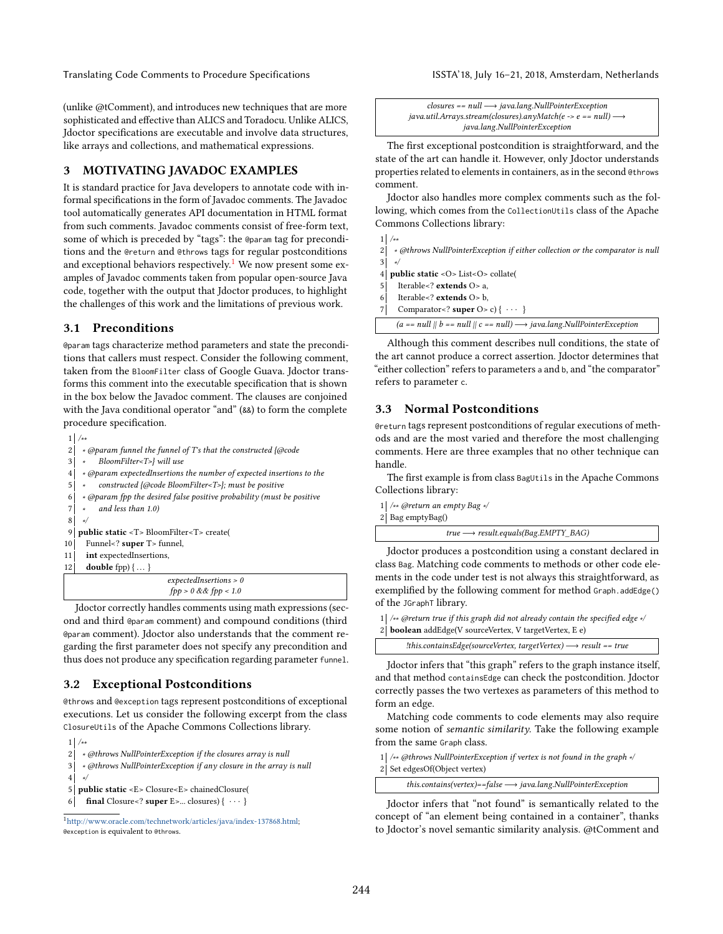Translating Code Comments to Procedure Specifications **ISSTA'18**, July 16-21, 2018, Amsterdam, Netherlands

(unlike @tComment), and introduces new techniques that are more sophisticated and effective than ALICS and Toradocu. Unlike ALICS, Jdoctor specifications are executable and involve data structures, like arrays and collections, and mathematical expressions.

#### <span id="page-2-1"></span>3 MOTIVATING JAVADOC EXAMPLES

It is standard practice for Java developers to annotate code with informal specifications in the form of Javadoc comments. The Javadoc tool automatically generates API documentation in HTML format from such comments. Javadoc comments consist of free-form text, some of which is preceded by "tags": the @param tag for preconditions and the @return and @throws tags for regular postconditions and exceptional behaviors respectively.<sup>[1](#page-2-0)</sup> We now present some examples of Javadoc comments taken from popular open-source Java code, together with the output that Jdoctor produces, to highlight the challenges of this work and the limitations of previous work.

#### 3.1 Preconditions

@param tags characterize method parameters and state the preconditions that callers must respect. Consider the following comment, taken from the BloomFilter class of Google Guava. Jdoctor transforms this comment into the executable specification that is shown in the box below the Javadoc comment. The clauses are conjoined with the Java conditional operator "and" (&&) to form the complete procedure specification.

|                | /**                                                                                               |
|----------------|---------------------------------------------------------------------------------------------------|
| $\overline{2}$ | * @param funnel the funnel of T's that the constructed {@code                                     |
| 3              | BloomFilter <t>} will use</t>                                                                     |
| $\overline{4}$ | * @param expectedInsertions the number of expected insertions to the                              |
| 5              | constructed {@code BloomFilter <t>}; must be positive<br/><math display="inline">\star</math></t> |
| 6              | * @param fpp the desired false positive probability (must be positive                             |
| 7              | and less than 1.0)<br>$\star$                                                                     |
| 8              | */                                                                                                |
| 9              | <b>public static</b> <t> BloomFilter<t> create(</t></t>                                           |
| 10             | Funnel super T funnel,                                                                            |
| 11             | int expectedInsertions,                                                                           |
| 12             | <b>double</b> fpp $\{ \dots \}$                                                                   |
|                | expectedInsertions > 0                                                                            |
|                | $fpp > 0$ & & $fpp < 1.0$                                                                         |

Jdoctor correctly handles comments using math expressions (second and third @param comment) and compound conditions (third @param comment). Jdoctor also understands that the comment regarding the first parameter does not specify any precondition and thus does not produce any specification regarding parameter funnel.

### 3.2 Exceptional Postconditions

@throws and @exception tags represent postconditions of exceptional executions. Let us consider the following excerpt from the class ClosureUtils of the Apache Commons Collections library.

```
1 /∗∗
2 ↓ «@throws NullPointerException if the closures array is null
3 ∗ @throws NullPointerException if any closure in the array is null
4 ∗/
5 public static <E> Closure<E> chainedClosure(
6 final Closure<? super E>... closures) \{ \cdots \}
```

| $closures == null \longrightarrow java.lang.NullPointerException$            |
|------------------------------------------------------------------------------|
| java.util.Arrays.stream(closures).anyMatch(e -> e == null) $\longrightarrow$ |
| java.lang.NullPointerException                                               |

The first exceptional postcondition is straightforward, and the state of the art can handle it. However, only Jdoctor understands properties related to elements in containers, as in the second @throws comment.

Jdoctor also handles more complex comments such as the following, which comes from the CollectionUtils class of the Apache Commons Collections library:

1 /∗∗ 2 ∗ @throws NullPointerException if either collection or the comparator is null 4 public static < O> List< O> collate( 5 Iterable<? extends O> a, 6 Iterable<? extends O> b, 7 Comparator <? super  $O > c$  {  $\cdots$  }

 $(a == null || b == null || c == null)$  → java.lang.NullPointerException

Although this comment describes null conditions, the state of the art cannot produce a correct assertion. Jdoctor determines that "either collection" refers to parameters a and b, and "the comparator" refers to parameter c.

# 3.3 Normal Postconditions

@return tags represent postconditions of regular executions of methods and are the most varied and therefore the most challenging comments. Here are three examples that no other technique can handle.

The first example is from class BagUtils in the Apache Commons Collections library:

1 | /<sub>\*\*</sub> @return an empty Bag ∗/

2 Bag emptyBag()

3 ∗/

| $true \longrightarrow result.equals(Bag. EMPTY_BAG)$ |  |
|------------------------------------------------------|--|
|------------------------------------------------------|--|

Jdoctor produces a postcondition using a constant declared in class Bag. Matching code comments to methods or other code elements in the code under test is not always this straightforward, as exemplified by the following comment for method Graph.addEdge() of the JGraphT library.

- 1 | /\*\* @return true if this graph did not already contain the specified edge \*/
- 2 **boolean** addEdge(V sourceVertex, V targetVertex, E e)

!this.containsEdge(sourceVertex, targetVertex) −→ result == true

Jdoctor infers that "this graph" refers to the graph instance itself, and that method containsEdge can check the postcondition. Jdoctor correctly passes the two vertexes as parameters of this method to form an edge.

Matching code comments to code elements may also require some notion of semantic similarity. Take the following example from the same Graph class.

```
1 | /** @throws NullPointerException if vertex is not found in the graph */
2 Set edgesOf(Object vertex)
```
this.contains(vertex)==false −→ java.lang.NullPointerException

Jdoctor infers that "not found" is semantically related to the concept of "an element being contained in a container", thanks to Jdoctor's novel semantic similarity analysis. @tComment and

<span id="page-2-0"></span><sup>1</sup>[http://www.oracle.com/technetwork/articles/java/index-137868.html;](http://www.oracle.com/technetwork/articles/java/index-137868.html) @exception is equivalent to @throws.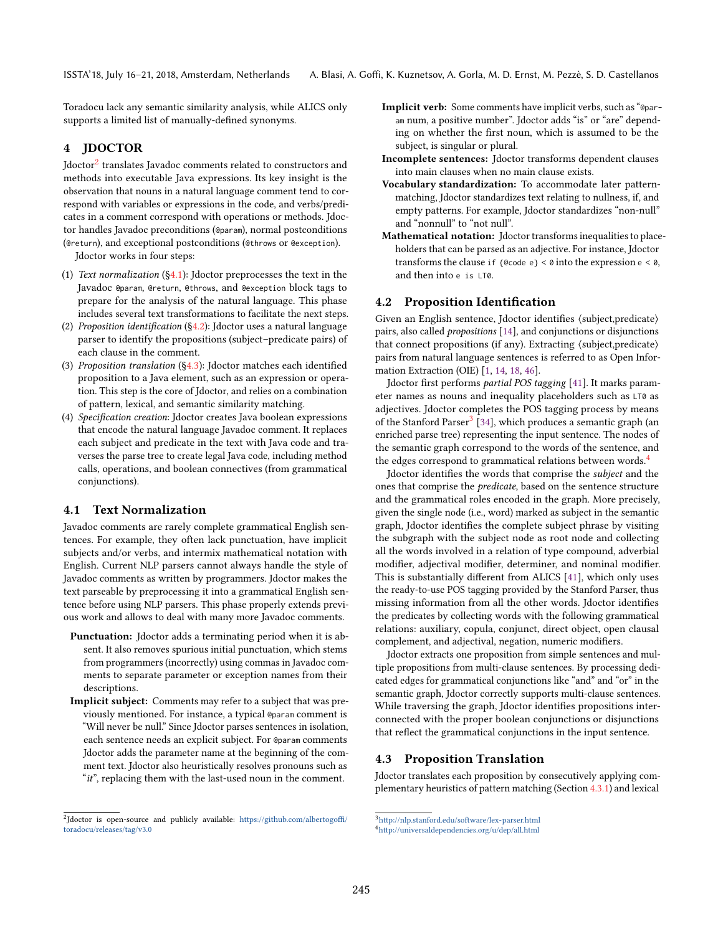Toradocu lack any semantic similarity analysis, while ALICS only supports a limited list of manually-defined synonyms.

# <span id="page-3-6"></span>4 JDOCTOR

Jdoctor<sup>[2](#page-3-0)</sup> translates Javadoc comments related to constructors and methods into executable Java expressions. Its key insight is the observation that nouns in a natural language comment tend to correspond with variables or expressions in the code, and verbs/predicates in a comment correspond with operations or methods. Jdoctor handles Javadoc preconditions (@param), normal postconditions (@return), and exceptional postconditions (@throws or @exception).

Jdoctor works in four steps:

- (1) Text normalization ([ğ4.1\)](#page-3-1): Jdoctor preprocesses the text in the Javadoc @param, @return, @throws, and @exception block tags to prepare for the analysis of the natural language. This phase includes several text transformations to facilitate the next steps.
- (2) Proposition identification  $(\S4.2)$ : Jdoctor uses a natural language parser to identify the propositions (subject-predicate pairs) of each clause in the comment.
- (3) Proposition translation ([ğ4.3\)](#page-3-3): Jdoctor matches each identified proposition to a Java element, such as an expression or operation. This step is the core of Jdoctor, and relies on a combination of pattern, lexical, and semantic similarity matching.
- (4) Specification creation: Jdoctor creates Java boolean expressions that encode the natural language Javadoc comment. It replaces each subject and predicate in the text with Java code and traverses the parse tree to create legal Java code, including method calls, operations, and boolean connectives (from grammatical conjunctions).

#### <span id="page-3-1"></span>4.1 Text Normalization

Javadoc comments are rarely complete grammatical English sentences. For example, they often lack punctuation, have implicit subjects and/or verbs, and intermix mathematical notation with English. Current NLP parsers cannot always handle the style of Javadoc comments as written by programmers. Jdoctor makes the text parseable by preprocessing it into a grammatical English sentence before using NLP parsers. This phase properly extends previous work and allows to deal with many more Javadoc comments.

- Punctuation: Jdoctor adds a terminating period when it is absent. It also removes spurious initial punctuation, which stems from programmers (incorrectly) using commas in Javadoc comments to separate parameter or exception names from their descriptions.
- Implicit subject: Comments may refer to a subject that was previously mentioned. For instance, a typical @param comment is łWill never be null.ž Since Jdoctor parses sentences in isolation, each sentence needs an explicit subject. For @param comments Jdoctor adds the parameter name at the beginning of the comment text. Jdoctor also heuristically resolves pronouns such as "it", replacing them with the last-used noun in the comment.
- Implicit verb: Some comments have implicit verbs, such as "@param num, a positive number". Jdoctor adds "is" or "are" depending on whether the first noun, which is assumed to be the subject, is singular or plural.
- Incomplete sentences: Jdoctor transforms dependent clauses into main clauses when no main clause exists.
- Vocabulary standardization: To accommodate later patternmatching, Jdoctor standardizes text relating to nullness, if, and empty patterns. For example, Jdoctor standardizes "non-null" and "nonnull" to "not null".
- Mathematical notation: Jdoctor transforms inequalities to placeholders that can be parsed as an adjective. For instance, Jdoctor transforms the clause if {@code e} < 0 into the expression e < 0, and then into e is LT0.

#### <span id="page-3-2"></span>4.2 Proposition Identification

Given an English sentence, Jdoctor identifies ⟨subject,predicate⟩ pairs, also called propositions [\[14\]](#page-10-15), and conjunctions or disjunctions that connect propositions (if any). Extracting ⟨subject,predicate⟩ pairs from natural language sentences is referred to as Open Information Extraction (OIE) [\[1,](#page-10-16) [14,](#page-10-15) [18,](#page-10-17) [46\]](#page-10-18).

Jdoctor first performs partial POS tagging [\[41\]](#page-10-13). It marks parameter names as nouns and inequality placeholders such as LT0 as adjectives. Jdoctor completes the POS tagging process by means of the Stanford Parser<sup>[3](#page-3-4)</sup> [\[34\]](#page-10-19), which produces a semantic graph (an enriched parse tree) representing the input sentence. The nodes of the semantic graph correspond to the words of the sentence, and the edges correspond to grammatical relations between words.<sup>[4](#page-3-5)</sup>

Jdoctor identifies the words that comprise the subject and the ones that comprise the *predicate*, based on the sentence structure and the grammatical roles encoded in the graph. More precisely, given the single node (i.e., word) marked as subject in the semantic graph, Jdoctor identifies the complete subject phrase by visiting the subgraph with the subject node as root node and collecting all the words involved in a relation of type compound, adverbial modifier, adjectival modifier, determiner, and nominal modifier. This is substantially different from ALICS [\[41\]](#page-10-13), which only uses the ready-to-use POS tagging provided by the Stanford Parser, thus missing information from all the other words. Jdoctor identifies the predicates by collecting words with the following grammatical relations: auxiliary, copula, conjunct, direct object, open clausal complement, and adjectival, negation, numeric modifiers.

Jdoctor extracts one proposition from simple sentences and multiple propositions from multi-clause sentences. By processing dedicated edges for grammatical conjunctions like "and" and "or" in the semantic graph, Jdoctor correctly supports multi-clause sentences. While traversing the graph, Jdoctor identifies propositions interconnected with the proper boolean conjunctions or disjunctions that reflect the grammatical conjunctions in the input sentence.

# <span id="page-3-3"></span>4.3 Proposition Translation

Jdoctor translates each proposition by consecutively applying complementary heuristics of pattern matching (Section [4.3.1\)](#page-4-0) and lexical

<span id="page-3-0"></span><sup>&</sup>lt;sup>2</sup>Jdoctor is open-source and publicly available: [https://github.com/albertogoffi/](https://github.com/albertogoffi/toradocu/releases/tag/v3.0) [toradocu/releases/tag/v3.0](https://github.com/albertogoffi/toradocu/releases/tag/v3.0)

<span id="page-3-4"></span><sup>3</sup><http://nlp.stanford.edu/software/lex-parser.html>

<span id="page-3-5"></span><sup>4</sup><http://universaldependencies.org/u/dep/all.html>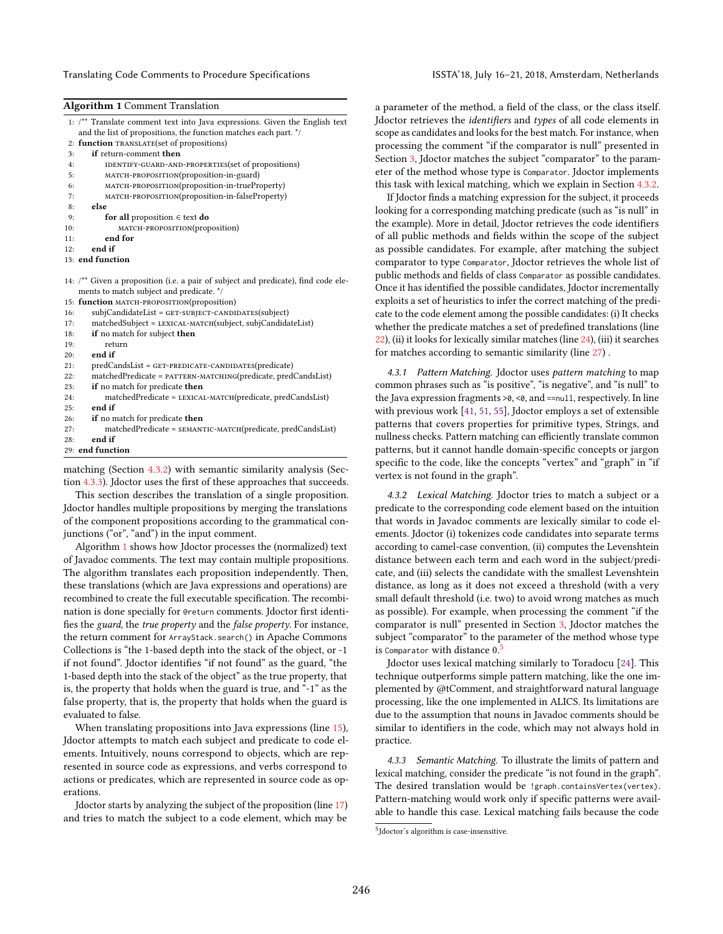Translating Code Comments to Procedure Specifications **ISSTA'18**, July 16-21, 2018, Amsterdam, Netherlands

<span id="page-4-3"></span>

| <b>Algorithm 1 Comment Translation</b> |  |  |
|----------------------------------------|--|--|
|----------------------------------------|--|--|

|     | Algorithm I Comment Fransiation                                                              |
|-----|----------------------------------------------------------------------------------------------|
|     | 1: /** Translate comment text into Java expressions. Given the English text                  |
|     | and the list of propositions, the function matches each part. */                             |
|     | 2: function TRANSLATE(set of propositions)                                                   |
| 3:  | if return-comment then                                                                       |
| 4:  | IDENTIFY-GUARD-AND-PROPERTIES (set of propositions)                                          |
| 5:  | MATCH-PROPOSITION(proposition-in-guard)                                                      |
| 6:  | MATCH-PROPOSITION(proposition-in-trueProperty)                                               |
| 7:  | MATCH-PROPOSITION(proposition-in-falseProperty)                                              |
| 8:  | else                                                                                         |
| 9:  | for all proposition $\in$ text do                                                            |
| 10: | MATCH-PROPOSITION(proposition)                                                               |
| 11: | end for                                                                                      |
| 12: | end if                                                                                       |
|     | 13: end function                                                                             |
|     |                                                                                              |
|     | 14: $\frac{1}{2}$ Given a proposition (i.e. a pair of subject and predicate), find code ele- |
|     | ments to match subject and predicate. */                                                     |
|     | 15: function MATCH-PROPOSITION(proposition)                                                  |
| 16: | subjCandidateList = GET-SUBJECT-CANDIDATES(subject)                                          |
| 17: | matchedSubject = LEXICAL-MATCH(subject, subjCandidateList)                                   |
| 18: | if no match for subject then                                                                 |
| 19: | return                                                                                       |
| 20: | end if                                                                                       |
| 21: | predCandsList = GET-PREDICATE-CANDIDATES(predicate)                                          |
| 22: | matchedPredicate = PATTERN-MATCHING(predicate, predCandsList)                                |
| 23: | if no match for predicate then                                                               |
| 24: | matchedPredicate = LEXICAL-MATCH(predicate, predCandsList)                                   |
| 25: | end if                                                                                       |
| 26: | if no match for predicate then                                                               |
| 27: | matchedPredicate = SEMANTIC-MATCH(predicate, predCandsList)                                  |
| 28: | end if                                                                                       |

<span id="page-4-8"></span><span id="page-4-7"></span><span id="page-4-6"></span><span id="page-4-5"></span><span id="page-4-4"></span>29: end function

matching (Section [4.3.2\)](#page-4-1) with semantic similarity analysis (Section [4.3.3\)](#page-4-2). Jdoctor uses the first of these approaches that succeeds.

This section describes the translation of a single proposition. Jdoctor handles multiple propositions by merging the translations of the component propositions according to the grammatical conjunctions (" $or$ ", " $and$ ") in the input comment.

Algorithm [1](#page-4-3) shows how Jdoctor processes the (normalized) text of Javadoc comments. The text may contain multiple propositions. The algorithm translates each proposition independently. Then, these translations (which are Java expressions and operations) are recombined to create the full executable specification. The recombination is done specially for @return comments. Jdoctor first identifies the guard, the true property and the false property. For instance, the return comment for ArrayStack.search() in Apache Commons Collections is "the 1-based depth into the stack of the object, or -1 if not found". Jdoctor identifies "if not found" as the guard, "the 1-based depth into the stack of the object" as the true property, that is, the property that holds when the guard is true, and  $-1$ <sup>\*</sup> as the false property, that is, the property that holds when the guard is evaluated to false.

When translating propositions into Java expressions (line [15\)](#page-4-4), Jdoctor attempts to match each subject and predicate to code elements. Intuitively, nouns correspond to objects, which are represented in source code as expressions, and verbs correspond to actions or predicates, which are represented in source code as operations.

Jdoctor starts by analyzing the subject of the proposition (line [17\)](#page-4-5) and tries to match the subject to a code element, which may be

a parameter of the method, a field of the class, or the class itself. Jdoctor retrieves the identifiers and types of all code elements in scope as candidates and looks for the best match. For instance, when processing the comment "if the comparator is null" presented in Section [3,](#page-2-1) J doctor matches the subject "comparator" to the parameter of the method whose type is Comparator. Jdoctor implements this task with lexical matching, which we explain in Section [4.3.2.](#page-4-1)

If Jdoctor finds a matching expression for the subject, it proceeds looking for a corresponding matching predicate (such as "is null" in the example). More in detail, Jdoctor retrieves the code identifiers of all public methods and fields within the scope of the subject as possible candidates. For example, after matching the subject comparator to type Comparator, Jdoctor retrieves the whole list of public methods and fields of class Comparator as possible candidates. Once it has identified the possible candidates, Jdoctor incrementally exploits a set of heuristics to infer the correct matching of the predicate to the code element among the possible candidates: (i) It checks whether the predicate matches a set of predefined translations (line [22\)](#page-4-6), (ii) it looks for lexically similar matches (line [24\)](#page-4-7), (iii) it searches for matches according to semantic similarity (line [27\)](#page-4-8) .

<span id="page-4-0"></span>4.3.1 Pattern Matching. Jdoctor uses pattern matching to map common phrases such as "is positive", "is negative", and "is null" to the Java expression fragments >0, <0, and ==null, respectively. In line with previous work [\[41,](#page-10-13) [51,](#page-11-5) [55\]](#page-11-6), Jdoctor employs a set of extensible patterns that covers properties for primitive types, Strings, and nullness checks. Pattern matching can efficiently translate common patterns, but it cannot handle domain-specific concepts or jargon specific to the code, like the concepts "vertex" and "graph" in "if vertex is not found in the graph".

<span id="page-4-1"></span>4.3.2 Lexical Matching. Jdoctor tries to match a subject or a predicate to the corresponding code element based on the intuition that words in Javadoc comments are lexically similar to code elements. Jdoctor (i) tokenizes code candidates into separate terms according to camel-case convention, (ii) computes the Levenshtein distance between each term and each word in the subject/predicate, and (iii) selects the candidate with the smallest Levenshtein distance, as long as it does not exceed a threshold (with a very small default threshold (i.e. two) to avoid wrong matches as much as possible). For example, when processing the comment "if the comparator is nullž presented in Section [3,](#page-2-1) Jdoctor matches the subject "comparator" to the parameter of the method whose type is Comparator with distance  $0.5$  $0.5$ 

Jdoctor uses lexical matching similarly to Toradocu [\[24\]](#page-10-14). This technique outperforms simple pattern matching, like the one implemented by @tComment, and straightforward natural language processing, like the one implemented in ALICS. Its limitations are due to the assumption that nouns in Javadoc comments should be similar to identifiers in the code, which may not always hold in practice.

<span id="page-4-2"></span>4.3.3 Semantic Matching. To illustrate the limits of pattern and lexical matching, consider the predicate "is not found in the graph". The desired translation would be !graph.containsVertex(vertex). Pattern-matching would work only if specific patterns were available to handle this case. Lexical matching fails because the code

<span id="page-4-9"></span><sup>5</sup> Jdoctor's algorithm is case-insensitive.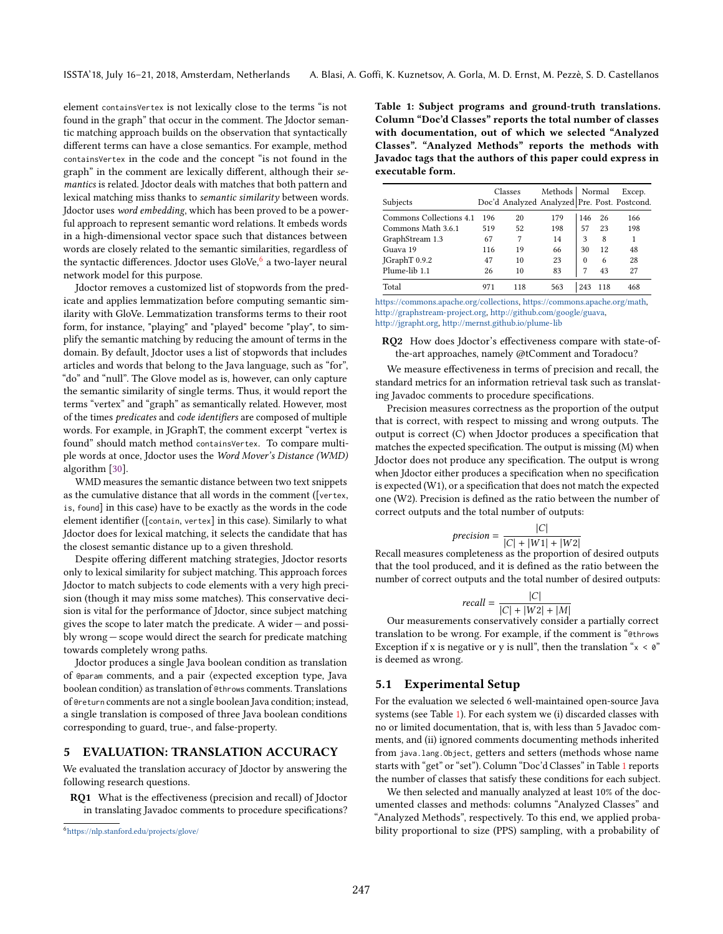element contains Vertex is not lexically close to the terms "is not found in the graph" that occur in the comment. The Jdoctor semantic matching approach builds on the observation that syntactically different terms can have a close semantics. For example, method containsVertex in the code and the concept "is not found in the graph" in the comment are lexically different, although their semantics is related. Jdoctor deals with matches that both pattern and lexical matching miss thanks to semantic similarity between words. Jdoctor uses word embedding, which has been proved to be a powerful approach to represent semantic word relations. It embeds words in a high-dimensional vector space such that distances between words are closely related to the semantic similarities, regardless of the syntactic differences. Jdoctor uses GloVe, $^6$  $^6$  a two-layer neural network model for this purpose.

Jdoctor removes a customized list of stopwords from the predicate and applies lemmatization before computing semantic similarity with GloVe. Lemmatization transforms terms to their root form, for instance, "playing" and "played" become "play", to simplify the semantic matching by reducing the amount of terms in the domain. By default, Jdoctor uses a list of stopwords that includes articles and words that belong to the Java language, such as "for", "do" and "null". The Glove model as is, however, can only capture the semantic similarity of single terms. Thus, it would report the terms "vertex" and "graph" as semantically related. However, most of the times predicates and code identifiers are composed of multiple words. For example, in JGraphT, the comment excerpt "vertex is found" should match method containsVertex. To compare multiple words at once, Jdoctor uses the Word Mover's Distance (WMD) algorithm [\[30\]](#page-10-20).

WMD measures the semantic distance between two text snippets as the cumulative distance that all words in the comment ([vertex, is, found] in this case) have to be exactly as the words in the code element identifier ([contain, vertex] in this case). Similarly to what Jdoctor does for lexical matching, it selects the candidate that has the closest semantic distance up to a given threshold.

Despite offering different matching strategies, Jdoctor resorts only to lexical similarity for subject matching. This approach forces Jdoctor to match subjects to code elements with a very high precision (though it may miss some matches). This conservative decision is vital for the performance of Jdoctor, since subject matching gives the scope to later match the predicate. A wider  $-$  and possibly wrong – scope would direct the search for predicate matching towards completely wrong paths.

Jdoctor produces a single Java boolean condition as translation of @param comments, and a pair ⟨expected exception type, Java boolean condition⟩ as translation of @throws comments. Translations of @return comments are not a single boolean Java condition; instead, a single translation is composed of three Java boolean conditions corresponding to guard, true-, and false-property.

### <span id="page-5-2"></span>5 EVALUATION: TRANSLATION ACCURACY

We evaluated the translation accuracy of Jdoctor by answering the following research questions.

RQ1 What is the effectiveness (precision and recall) of Jdoctor in translating Javadoc comments to procedure specifications?

<span id="page-5-1"></span>Table 1: Subject programs and ground-truth translations. Column "Doc'd Classes" reports the total number of classes with documentation, out of which we selected "Analyzed Classes". "Analyzed Methods" reports the methods with Javadoc tags that the authors of this paper could express in executable form.

|                         | Classes |                                              | Methods   Normal |          |     | Excep. |
|-------------------------|---------|----------------------------------------------|------------------|----------|-----|--------|
| Subjects                |         | Doc'd Analyzed Analyzed Pre. Post. Postcond. |                  |          |     |        |
| Commons Collections 4.1 | 196     | 20                                           | 179              | 146      | 26  | 166    |
| Commons Math 3.6.1      | 519     | 52                                           | 198              | 57       | 23  | 198    |
| GraphStream 1.3         | 67      | 7                                            | 14               | 3        | 8   | 1      |
| Guava 19                | 116     | 19                                           | 66               | 30       | 12  | 48     |
| JGraphT 0.9.2           | 47      | 10                                           | 23               | $\Omega$ | 6   | 28     |
| Plume-lib 1.1           | 26      | 10                                           | 83               | 7        | 43  | 27     |
| Total                   | 971     | 118                                          | 563              | 243      | 118 | 468    |

[https://commons.apache.org/collections,](https://commons.apache.org/collections) [https://commons.apache.org/math,](https://commons.apache.org/math) [http://graphstream-project.org,](http://graphstream-project.org) [http://github.com/google/guava,](http://github.com/google/guava) [http://jgrapht.org,](http://jgrapht.org) <http://mernst.github.io/plume-lib>

RQ2 How does Jdoctor's effectiveness compare with state-ofthe-art approaches, namely @tComment and Toradocu?

We measure effectiveness in terms of precision and recall, the standard metrics for an information retrieval task such as translating Javadoc comments to procedure specifications.

Precision measures correctness as the proportion of the output that is correct, with respect to missing and wrong outputs. The output is correct (C) when Jdoctor produces a specification that matches the expected specification. The output is missing (M) when Jdoctor does not produce any specification. The output is wrong when Jdoctor either produces a specification when no specification is expected (W1), or a specification that does not match the expected one (W2). Precision is defined as the ratio between the number of correct outputs and the total number of outputs:

$$
precision = \frac{|C|}{|C| + |W1| + |W2|}
$$

Recall measures completeness as the proportion of desired outputs that the tool produced, and it is defined as the ratio between the number of correct outputs and the total number of desired outputs:

$$
recall = \frac{|C|}{|C| + |W2| + |M|}
$$

Our measurements conservatively consider a partially correct translation to be wrong. For example, if the comment is "@throws Exception if x is negative or y is null", then the translation " $x < 0$ " is deemed as wrong.

#### 5.1 Experimental Setup

For the evaluation we selected 6 well-maintained open-source Java systems (see Table [1\)](#page-5-1). For each system we (i) discarded classes with no or limited documentation, that is, with less than 5 Javadoc comments, and (ii) ignored comments documenting methods inherited from java.lang.Object, getters and setters (methods whose name starts with "get" or "set"). Column "Doc'd Classes" in Table [1](#page-5-1) reports the number of classes that satisfy these conditions for each subject.

We then selected and manually analyzed at least 10% of the documented classes and methods: columns "Analyzed Classes" and "Analyzed Methods", respectively. To this end, we applied probability proportional to size (PPS) sampling, with a probability of

<span id="page-5-0"></span><sup>6</sup><https://nlp.stanford.edu/projects/glove/>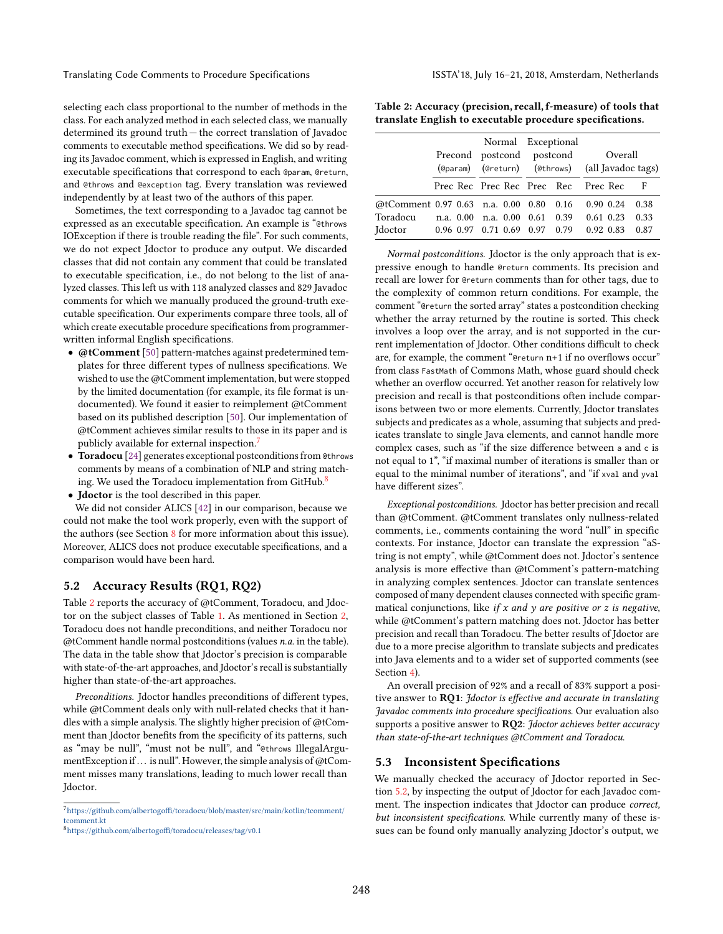selecting each class proportional to the number of methods in the class. For each analyzed method in each selected class, we manually determined its ground truth  $-$  the correct translation of Javadoc comments to executable method specifications. We did so by reading its Javadoc comment, which is expressed in English, and writing executable specifications that correspond to each @param, @return, and @throws and @exception tag. Every translation was reviewed independently by at least two of the authors of this paper.

Sometimes, the text corresponding to a Javadoc tag cannot be expressed as an executable specification. An example is "@throws IOException if there is trouble reading the file". For such comments, we do not expect Jdoctor to produce any output. We discarded classes that did not contain any comment that could be translated to executable specification, i.e., do not belong to the list of analyzed classes. This left us with 118 analyzed classes and 829 Javadoc comments for which we manually produced the ground-truth executable specification. Our experiments compare three tools, all of which create executable procedure specifications from programmerwritten informal English specifications.

- @tComment [\[50\]](#page-11-4) pattern-matches against predetermined templates for three different types of nullness specifications. We wished to use the @tComment implementation, but were stopped by the limited documentation (for example, its file format is undocumented). We found it easier to reimplement @tComment based on its published description [\[50\]](#page-11-4). Our implementation of @tComment achieves similar results to those in its paper and is publicly available for external inspection.<sup>[7](#page-6-0)</sup>
- Toradocu [\[24\]](#page-10-14) generates exceptional postconditions from @throws comments by means of a combination of NLP and string match-ing. We used the Toradocu implementation from GitHub.<sup>[8](#page-6-1)</sup>
- Jdoctor is the tool described in this paper.

We did not consider ALICS [\[42\]](#page-10-21) in our comparison, because we could not make the tool work properly, even with the support of the authors (see Section [8](#page-9-0) for more information about this issue). Moreover, ALICS does not produce executable specifications, and a comparison would have been hard.

#### <span id="page-6-3"></span>5.2 Accuracy Results (RQ1, RQ2)

Table [2](#page-6-2) reports the accuracy of @tComment, Toradocu, and Jdoctor on the subject classes of Table [1.](#page-5-1) As mentioned in Section [2,](#page-1-0) Toradocu does not handle preconditions, and neither Toradocu nor @tComment handle normal postconditions (values n.a. in the table). The data in the table show that Jdoctor's precision is comparable with state-of-the-art approaches, and Jdoctor's recall is substantially higher than state-of-the-art approaches.

Preconditions. Jdoctor handles preconditions of different types, while @tComment deals only with null-related checks that it handles with a simple analysis. The slightly higher precision of @tComment than Jdoctor benefits from the specificity of its patterns, such as "may be null", "must not be null", and "@throws IllegalArgumentException if ... is null". However, the simple analysis of @tComment misses many translations, leading to much lower recall than Jdoctor.

<span id="page-6-2"></span>Table 2: Accuracy (precision, recall, f-measure) of tools that translate English to executable procedure specifications.

|                                                             |  |  |  |  | Normal Exceptional<br>Precond postcond postcond |                                         | Overall<br>(@param) (@return) (@throws) (all Javadoc tags) |  |              |
|-------------------------------------------------------------|--|--|--|--|-------------------------------------------------|-----------------------------------------|------------------------------------------------------------|--|--------------|
|                                                             |  |  |  |  |                                                 | Prec Rec Prec Rec Prec Rec Prec Rec -   |                                                            |  | – F          |
| @tComment 0.97 0.63 n.a. 0.00 0.80 0.16                     |  |  |  |  |                                                 |                                         | $0.90\;0.24$                                               |  | 0.38         |
| Toradocu<br>Idoctor 0.96 0.97 0.71 0.69 0.97 0.79 0.92 0.83 |  |  |  |  |                                                 | n.a. 0.00 n.a. 0.00 0.61 0.39 0.61 0.23 |                                                            |  | 0.33<br>0.87 |

Normal postconditions. Jdoctor is the only approach that is expressive enough to handle @return comments. Its precision and recall are lower for @return comments than for other tags, due to the complexity of common return conditions. For example, the comment "@return the sorted array" states a postcondition checking whether the array returned by the routine is sorted. This check involves a loop over the array, and is not supported in the current implementation of Jdoctor. Other conditions difficult to check are, for example, the comment "@return  $n+1$  if no overflows occur" from class FastMath of Commons Math, whose guard should check whether an overflow occurred. Yet another reason for relatively low precision and recall is that postconditions often include comparisons between two or more elements. Currently, Jdoctor translates subjects and predicates as a whole, assuming that subjects and predicates translate to single Java elements, and cannot handle more complex cases, such as "if the size difference between a and c is not equal to 1", "if maximal number of iterations is smaller than or equal to the minimal number of iterations", and "if xval and yval have different sizes".

Exceptional postconditions. Jdoctor has better precision and recall than @tComment. @tComment translates only nullness-related comments, i.e., comments containing the word "null" in specific contexts. For instance, Jdoctor can translate the expression "aString is not empty", while @tComment does not. Jdoctor's sentence analysis is more effective than @tComment's pattern-matching in analyzing complex sentences. Jdoctor can translate sentences composed of many dependent clauses connected with specific grammatical conjunctions, like if  $x$  and  $y$  are positive or  $z$  is negative, while @tComment's pattern matching does not. Jdoctor has better precision and recall than Toradocu. The better results of Jdoctor are due to a more precise algorithm to translate subjects and predicates into Java elements and to a wider set of supported comments (see Section [4\)](#page-3-6).

An overall precision of 92% and a recall of 83% support a positive answer to RQ1: Jdoctor is effective and accurate in translating Javadoc comments into procedure specifications. Our evaluation also supports a positive answer to  $RQ2$ : *Jdoctor achieves better accuracy* than state-of-the-art techniques @tComment and Toradocu.

#### 5.3 Inconsistent Specifications

We manually checked the accuracy of Jdoctor reported in Section [5.2,](#page-6-3) by inspecting the output of Jdoctor for each Javadoc comment. The inspection indicates that Jdoctor can produce correct, but inconsistent specifications. While currently many of these issues can be found only manually analyzing Jdoctor's output, we

<span id="page-6-0"></span> $^7$ [https://github.com/albertogoffi/toradocu/blob/master/src/main/kotlin/tcomment/](https://github.com/albertogoffi/toradocu/blob/master/src/main/kotlin/tcomment/tcomment.kt) [tcomment.kt](https://github.com/albertogoffi/toradocu/blob/master/src/main/kotlin/tcomment/tcomment.kt)

<span id="page-6-1"></span><sup>8</sup><https://github.com/albertogoffi/toradocu/releases/tag/v0.1>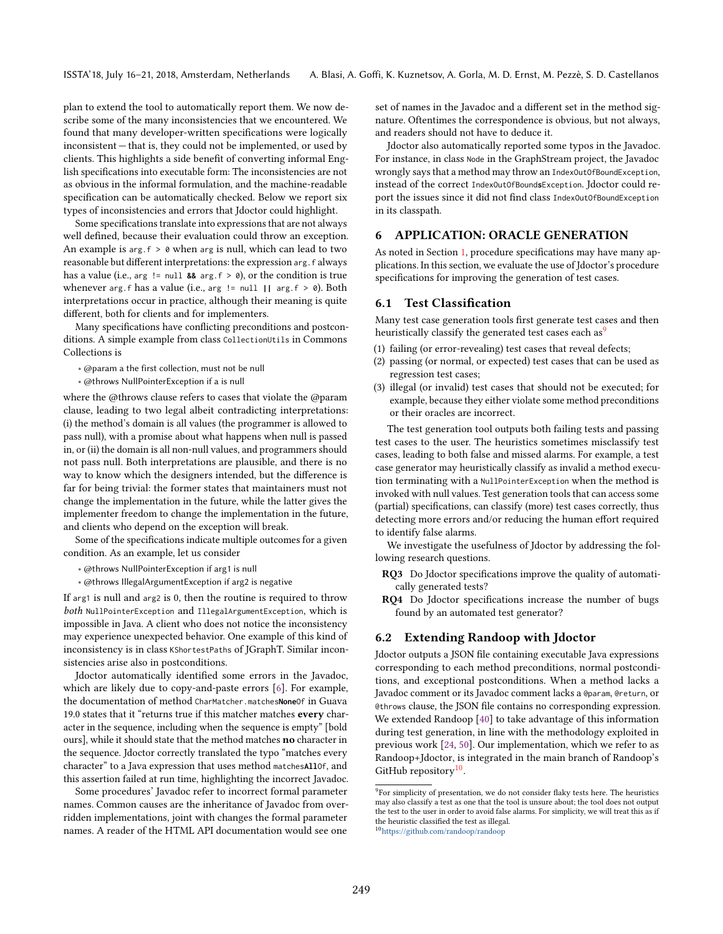plan to extend the tool to automatically report them. We now describe some of the many inconsistencies that we encountered. We found that many developer-written specifications were logically  $inconsistent$  – that is, they could not be implemented, or used by clients. This highlights a side benefit of converting informal English specifications into executable form: The inconsistencies are not as obvious in the informal formulation, and the machine-readable specification can be automatically checked. Below we report six types of inconsistencies and errors that Jdoctor could highlight.

Some specifications translate into expressions that are not always well defined, because their evaluation could throw an exception. An example is  $arg.f > 0$  when arg is null, which can lead to two reasonable but different interpretations: the expression arg.f always has a value (i.e., arg != null **&&** arg.f > 0), or the condition is true whenever arg.f has a value (i.e., arg != null **||** arg.f > 0). Both interpretations occur in practice, although their meaning is quite different, both for clients and for implementers.

Many specifications have conflicting preconditions and postconditions. A simple example from class CollectionUtils in Commons Collections is

- ∗ @param a the first collection, must not be null
- ∗ @throws NullPointerException if a is null

where the @throws clause refers to cases that violate the @param clause, leading to two legal albeit contradicting interpretations: (i) the method's domain is all values (the programmer is allowed to pass null), with a promise about what happens when null is passed in, or (ii) the domain is all non-null values, and programmers should not pass null. Both interpretations are plausible, and there is no way to know which the designers intended, but the difference is far for being trivial: the former states that maintainers must not change the implementation in the future, while the latter gives the implementer freedom to change the implementation in the future, and clients who depend on the exception will break.

Some of the specifications indicate multiple outcomes for a given condition. As an example, let us consider

- ∗ @throws NullPointerException if arg1 is null
- ∗ @throws IllegalArgumentException if arg2 is negative

If arg1 is null and arg2 is 0, then the routine is required to throw both NullPointerException and IllegalArgumentException, which is impossible in Java. A client who does not notice the inconsistency may experience unexpected behavior. One example of this kind of inconsistency is in class KShortestPaths of JGraphT. Similar inconsistencies arise also in postconditions.

Jdoctor automatically identified some errors in the Javadoc, which are likely due to copy-and-paste errors [\[6\]](#page-10-22). For example, the documentation of method CharMatcher.matches**None**Of in Guava 19.0 states that it "returns true if this matcher matches every character in the sequence, including when the sequence is empty" [bold ours], while it should state that the method matches no character in the sequence. Jdoctor correctly translated the typo "matches every character" to a Java expression that uses method matchesAllOf, and this assertion failed at run time, highlighting the incorrect Javadoc.

Some procedures' Javadoc refer to incorrect formal parameter names. Common causes are the inheritance of Javadoc from overridden implementations, joint with changes the formal parameter names. A reader of the HTML API documentation would see one

set of names in the Javadoc and a different set in the method signature. Oftentimes the correspondence is obvious, but not always, and readers should not have to deduce it.

Jdoctor also automatically reported some typos in the Javadoc. For instance, in class Node in the GraphStream project, the Javadoc wrongly says that a method may throw an IndexOutOfBoundException, instead of the correct IndexOutOfBound**s**Exception. Jdoctor could report the issues since it did not find class IndexOutOfBoundException in its classpath.

#### <span id="page-7-0"></span>6 APPLICATION: ORACLE GENERATION

As noted in Section [1,](#page-0-0) procedure specifications may have many applications. In this section, we evaluate the use of Jdoctor's procedure specifications for improving the generation of test cases.

### 6.1 Test Classification

Many test case generation tools first generate test cases and then heuristically classify the generated test cases each as<sup>[9](#page-7-1)</sup>

- (1) failing (or error-revealing) test cases that reveal defects;
- (2) passing (or normal, or expected) test cases that can be used as regression test cases;
- (3) illegal (or invalid) test cases that should not be executed; for example, because they either violate some method preconditions or their oracles are incorrect.

The test generation tool outputs both failing tests and passing test cases to the user. The heuristics sometimes misclassify test cases, leading to both false and missed alarms. For example, a test case generator may heuristically classify as invalid a method execution terminating with a NullPointerException when the method is invoked with null values. Test generation tools that can access some (partial) specifications, can classify (more) test cases correctly, thus detecting more errors and/or reducing the human effort required to identify false alarms.

We investigate the usefulness of Jdoctor by addressing the following research questions.

- RQ3 Do Jdoctor specifications improve the quality of automatically generated tests?
- RQ4 Do Jdoctor specifications increase the number of bugs found by an automated test generator?

#### 6.2 Extending Randoop with Jdoctor

Jdoctor outputs a JSON file containing executable Java expressions corresponding to each method preconditions, normal postconditions, and exceptional postconditions. When a method lacks a Javadoc comment or its Javadoc comment lacks a @param, @return, or @throws clause, the JSON file contains no corresponding expression. We extended Randoop [\[40\]](#page-10-11) to take advantage of this information during test generation, in line with the methodology exploited in previous work [\[24,](#page-10-14) [50\]](#page-11-4). Our implementation, which we refer to as Randoop+Jdoctor, is integrated in the main branch of Randoop's GitHub repository<sup>[10](#page-7-2)</sup>.

<span id="page-7-1"></span><sup>&</sup>lt;sup>9</sup>For simplicity of presentation, we do not consider flaky tests here. The heuristics may also classify a test as one that the tool is unsure about; the tool does not output the test to the user in order to avoid false alarms. For simplicity, we will treat this as if the heuristic classified the test as illegal.

<span id="page-7-2"></span><sup>10</sup><https://github.com/randoop/randoop>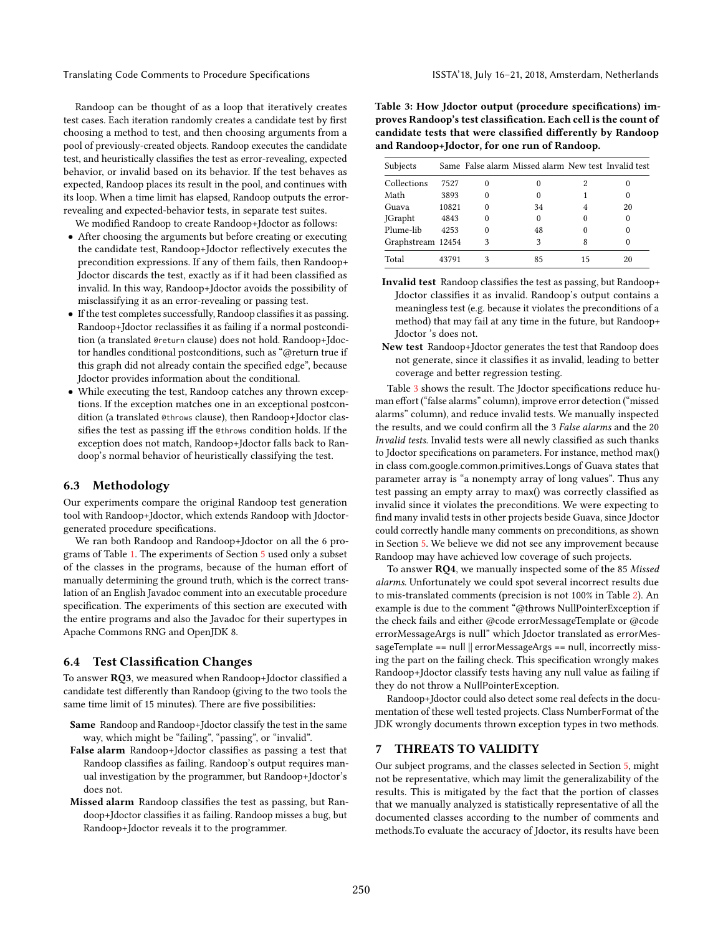Randoop can be thought of as a loop that iteratively creates test cases. Each iteration randomly creates a candidate test by first choosing a method to test, and then choosing arguments from a pool of previously-created objects. Randoop executes the candidate test, and heuristically classifies the test as error-revealing, expected behavior, or invalid based on its behavior. If the test behaves as expected, Randoop places its result in the pool, and continues with its loop. When a time limit has elapsed, Randoop outputs the errorrevealing and expected-behavior tests, in separate test suites.

We modified Randoop to create Randoop+Jdoctor as follows:

- After choosing the arguments but before creating or executing the candidate test, Randoop+Jdoctor reflectively executes the precondition expressions. If any of them fails, then Randoop+ Jdoctor discards the test, exactly as if it had been classified as invalid. In this way, Randoop+Jdoctor avoids the possibility of misclassifying it as an error-revealing or passing test.
- If the test completes successfully, Randoop classifies it as passing. Randoop+Jdoctor reclassifies it as failing if a normal postcondition (a translated @return clause) does not hold. Randoop+Jdoctor handles conditional postconditions, such as "@return true if this graph did not already contain the specified edge", because Jdoctor provides information about the conditional.
- While executing the test, Randoop catches any thrown exceptions. If the exception matches one in an exceptional postcondition (a translated @throws clause), then Randoop+Jdoctor classifies the test as passing iff the @throws condition holds. If the exception does not match, Randoop+Jdoctor falls back to Randoop's normal behavior of heuristically classifying the test.

# 6.3 Methodology

Our experiments compare the original Randoop test generation tool with Randoop+Jdoctor, which extends Randoop with Jdoctorgenerated procedure specifications.

We ran both Randoop and Randoop+Jdoctor on all the 6 programs of Table [1.](#page-5-1) The experiments of Section [5](#page-5-2) used only a subset of the classes in the programs, because of the human effort of manually determining the ground truth, which is the correct translation of an English Javadoc comment into an executable procedure specification. The experiments of this section are executed with the entire programs and also the Javadoc for their supertypes in Apache Commons RNG and OpenJDK 8.

### 6.4 Test Classification Changes

To answer RQ3, we measured when Randoop+Jdoctor classified a candidate test differently than Randoop (giving to the two tools the same time limit of 15 minutes). There are five possibilities:

- Same Randoop and Randoop+Jdoctor classify the test in the same way, which might be "failing", "passing", or "invalid".
- False alarm Randoop+Jdoctor classifies as passing a test that Randoop classifies as failing. Randoop's output requires manual investigation by the programmer, but Randoop+Jdoctor's does not.
- Missed alarm Randoop classifies the test as passing, but Randoop+Jdoctor classifies it as failing. Randoop misses a bug, but Randoop+Jdoctor reveals it to the programmer.

<span id="page-8-0"></span>Table 3: How Jdoctor output (procedure specifications) improves Randoop's test classification. Each cell is the count of candidate tests that were classified differently by Randoop and Randoop+Jdoctor, for one run of Randoop.

| Subjects          |       | Same False alarm Missed alarm New test Invalid test |          |          |
|-------------------|-------|-----------------------------------------------------|----------|----------|
| Collections       | 7527  |                                                     | 2        |          |
| Math              | 3893  |                                                     |          |          |
| Guava             | 10821 | 34                                                  |          | 20       |
| <b>JGrapht</b>    | 4843  | $_{0}$                                              | $\Omega$ | $\theta$ |
| Plume-lib         | 4253  | 48                                                  | $\Omega$ |          |
| Graphstream 12454 |       | 3                                                   | 8        |          |
| Total             | 43791 | 85                                                  | 15       | 20       |

- Invalid test Randoop classifies the test as passing, but Randoop+ Jdoctor classifies it as invalid. Randoop's output contains a meaningless test (e.g. because it violates the preconditions of a method) that may fail at any time in the future, but Randoop+ Jdoctor 's does not.
- New test Randoop+Jdoctor generates the test that Randoop does not generate, since it classifies it as invalid, leading to better coverage and better regression testing.

Table [3](#page-8-0) shows the result. The Jdoctor specifications reduce human effort ("false alarms" column), improve error detection ("missed alarms" column), and reduce invalid tests. We manually inspected the results, and we could confirm all the 3 False alarms and the 20 Invalid tests. Invalid tests were all newly classified as such thanks to Jdoctor specifications on parameters. For instance, method max() in class com.google.common.primitives.Longs of Guava states that parameter array is "a nonempty array of long values". Thus any test passing an empty array to max() was correctly classified as invalid since it violates the preconditions. We were expecting to find many invalid tests in other projects beside Guava, since Jdoctor could correctly handle many comments on preconditions, as shown in Section [5.](#page-5-2) We believe we did not see any improvement because Randoop may have achieved low coverage of such projects.

To answer RQ4, we manually inspected some of the 85 Missed alarms. Unfortunately we could spot several incorrect results due to mis-translated comments (precision is not 100% in Table [2\)](#page-6-2). An example is due to the comment "@throws NullPointerException if the check fails and either @code errorMessageTemplate or @code errorMessageArgs is null" which Jdoctor translated as errorMessageTemplate == null || errorMessageArgs == null, incorrectly missing the part on the failing check. This specification wrongly makes Randoop+Jdoctor classify tests having any null value as failing if they do not throw a NullPointerException.

Randoop+Jdoctor could also detect some real defects in the documentation of these well tested projects. Class NumberFormat of the JDK wrongly documents thrown exception types in two methods.

#### 7 THREATS TO VALIDITY

Our subject programs, and the classes selected in Section [5,](#page-5-2) might not be representative, which may limit the generalizability of the results. This is mitigated by the fact that the portion of classes that we manually analyzed is statistically representative of all the documented classes according to the number of comments and methods.To evaluate the accuracy of Jdoctor, its results have been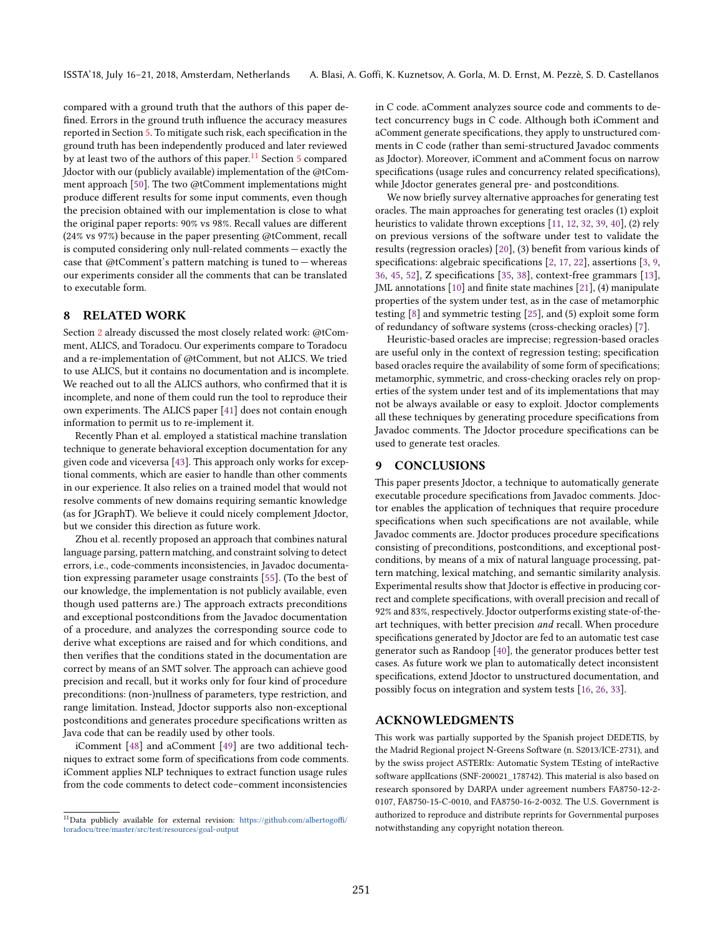compared with a ground truth that the authors of this paper defined. Errors in the ground truth influence the accuracy measures reported in Section [5.](#page-5-2) To mitigate such risk, each specification in the ground truth has been independently produced and later reviewed by at least two of the authors of this paper.<sup>[11](#page-9-1)</sup> Section [5](#page-5-2) compared Jdoctor with our (publicly available) implementation of the @tComment approach [\[50\]](#page-11-4). The two @tComment implementations might produce different results for some input comments, even though the precision obtained with our implementation is close to what the original paper reports: 90% vs 98%. Recall values are different (24% vs 97%) because in the paper presenting @tComment, recall is computed considering only null-related comments  $-$  exactly the case that  $@tComment's pattern matching is tuned to - whereas$ our experiments consider all the comments that can be translated to executable form.

# <span id="page-9-0"></span>8 RELATED WORK

Section [2](#page-1-0) already discussed the most closely related work: @tComment, ALICS, and Toradocu. Our experiments compare to Toradocu and a re-implementation of @tComment, but not ALICS. We tried to use ALICS, but it contains no documentation and is incomplete. We reached out to all the ALICS authors, who confirmed that it is incomplete, and none of them could run the tool to reproduce their own experiments. The ALICS paper [\[41\]](#page-10-13) does not contain enough information to permit us to re-implement it.

Recently Phan et al. employed a statistical machine translation technique to generate behavioral exception documentation for any given code and viceversa [\[43\]](#page-10-23). This approach only works for exceptional comments, which are easier to handle than other comments in our experience. It also relies on a trained model that would not resolve comments of new domains requiring semantic knowledge (as for JGraphT). We believe it could nicely complement Jdoctor, but we consider this direction as future work.

Zhou et al. recently proposed an approach that combines natural language parsing, pattern matching, and constraint solving to detect errors, i.e., code-comments inconsistencies, in Javadoc documentation expressing parameter usage constraints [\[55\]](#page-11-6). (To the best of our knowledge, the implementation is not publicly available, even though used patterns are.) The approach extracts preconditions and exceptional postconditions from the Javadoc documentation of a procedure, and analyzes the corresponding source code to derive what exceptions are raised and for which conditions, and then verifies that the conditions stated in the documentation are correct by means of an SMT solver. The approach can achieve good precision and recall, but it works only for four kind of procedure preconditions: (non-)nullness of parameters, type restriction, and range limitation. Instead, Jdoctor supports also non-exceptional postconditions and generates procedure specifications written as Java code that can be readily used by other tools.

iComment [\[48\]](#page-11-7) and aComment [\[49\]](#page-11-8) are two additional techniques to extract some form of specifications from code comments. iComment applies NLP techniques to extract function usage rules from the code comments to detect code-comment inconsistencies

in C code. aComment analyzes source code and comments to detect concurrency bugs in C code. Although both iComment and aComment generate specifications, they apply to unstructured comments in C code (rather than semi-structured Javadoc comments as Jdoctor). Moreover, iComment and aComment focus on narrow specifications (usage rules and concurrency related specifications), while Jdoctor generates general pre- and postconditions.

We now briefly survey alternative approaches for generating test oracles. The main approaches for generating test oracles (1) exploit heuristics to validate thrown exceptions [\[11,](#page-10-24) [12,](#page-10-25) [32,](#page-10-26) [39,](#page-10-27) [40\]](#page-10-11), (2) rely on previous versions of the software under test to validate the results (regression oracles) [\[20\]](#page-10-28), (3) benefit from various kinds of specifications: algebraic specifications [\[2,](#page-10-29) [17,](#page-10-1) [22\]](#page-10-30), assertions [\[3,](#page-10-31) [9,](#page-10-32) [36,](#page-10-33) [45,](#page-10-34) [52\]](#page-11-9), Z specifications [\[35,](#page-10-35) [38\]](#page-10-36), context-free grammars [\[13\]](#page-10-37), JML annotations [\[10\]](#page-10-38) and finite state machines [\[21\]](#page-10-39), (4) manipulate properties of the system under test, as in the case of metamorphic testing [\[8\]](#page-10-40) and symmetric testing [\[25\]](#page-10-41), and (5) exploit some form of redundancy of software systems (cross-checking oracles) [\[7\]](#page-10-42).

Heuristic-based oracles are imprecise; regression-based oracles are useful only in the context of regression testing; specification based oracles require the availability of some form of specifications; metamorphic, symmetric, and cross-checking oracles rely on properties of the system under test and of its implementations that may not be always available or easy to exploit. Jdoctor complements all these techniques by generating procedure specifications from Javadoc comments. The Jdoctor procedure specifications can be used to generate test oracles.

#### 9 CONCLUSIONS

This paper presents Jdoctor, a technique to automatically generate executable procedure specifications from Javadoc comments. Jdoctor enables the application of techniques that require procedure specifications when such specifications are not available, while Javadoc comments are. Jdoctor produces procedure specifications consisting of preconditions, postconditions, and exceptional postconditions, by means of a mix of natural language processing, pattern matching, lexical matching, and semantic similarity analysis. Experimental results show that Jdoctor is effective in producing correct and complete specifications, with overall precision and recall of 92% and 83%, respectively. Jdoctor outperforms existing state-of-theart techniques, with better precision and recall. When procedure specifications generated by Jdoctor are fed to an automatic test case generator such as Randoop [\[40\]](#page-10-11), the generator produces better test cases. As future work we plan to automatically detect inconsistent specifications, extend Jdoctor to unstructured documentation, and possibly focus on integration and system tests [\[16,](#page-10-43) [26,](#page-10-44) [33\]](#page-10-45).

#### ACKNOWLEDGMENTS

This work was partially supported by the Spanish project DEDETIS, by the Madrid Regional project N-Greens Software (n. S2013/ICE-2731), and by the swiss project ASTERIx: Automatic System TEsting of inteRactive software applIcations (SNF-200021\_178742). This material is also based on research sponsored by DARPA under agreement numbers FA8750-12-2- 0107, FA8750-15-C-0010, and FA8750-16-2-0032. The U.S. Government is authorized to reproduce and distribute reprints for Governmental purposes notwithstanding any copyright notation thereon.

<span id="page-9-1"></span><sup>&</sup>lt;sup>11</sup>Data publicly available for external revision: [https://github.com/albertogoffi/](https://github.com/albertogoffi/toradocu/tree/master/src/test/resources/goal-output) [toradocu/tree/master/src/test/resources/goal-output](https://github.com/albertogoffi/toradocu/tree/master/src/test/resources/goal-output)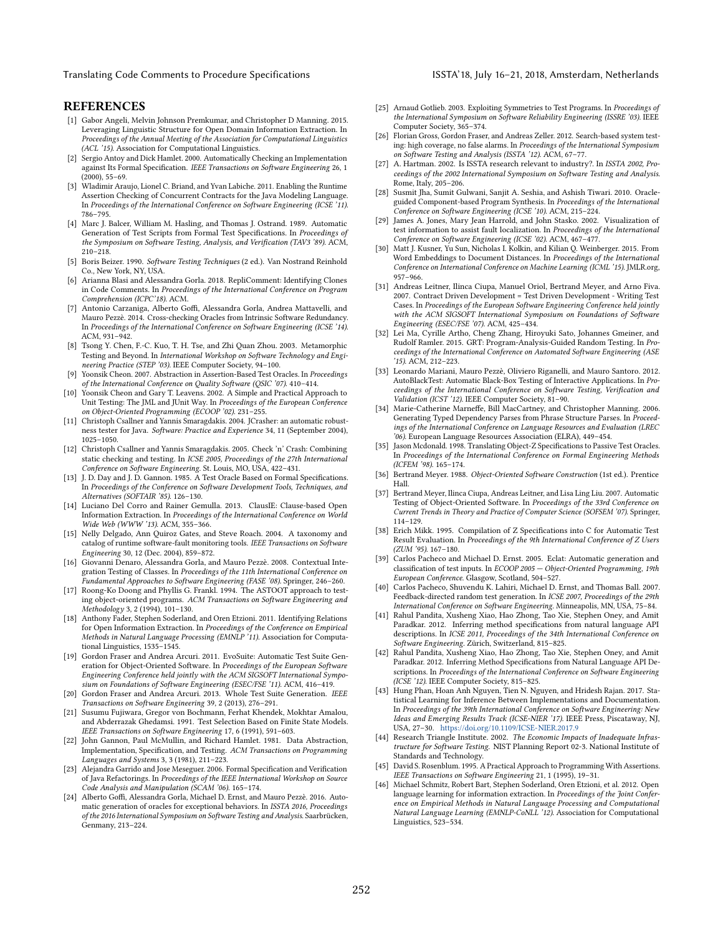Translating Code Comments to Procedure Specifications **ISSTA'18**, July 16-21, 2018, Amsterdam, Netherlands

#### REFERENCES

- <span id="page-10-16"></span>[1] Gabor Angeli, Melvin Johnson Premkumar, and Christopher D Manning. 2015. Leveraging Linguistic Structure for Open Domain Information Extraction. In Proceedings of the Annual Meeting of the Association for Computational Linguistics (ACL '15). Association for Computational Linguistics.
- <span id="page-10-29"></span>[2] Sergio Antoy and Dick Hamlet. 2000. Automatically Checking an Implementation against Its Formal Specification. IEEE Transactions on Software Engineering 26, 1  $(2000), 55 - 69.$
- <span id="page-10-31"></span>[3] Wladimir Araujo, Lionel C. Briand, and Yvan Labiche. 2011. Enabling the Runtime Assertion Checking of Concurrent Contracts for the Java Modeling Language. In Proceedings of the International Conference on Software Engineering (ICSE '11). 786-795.
- <span id="page-10-0"></span>[4] Marc J. Balcer, William M. Hasling, and Thomas J. Ostrand. 1989. Automatic Generation of Test Scripts from Formal Test Specifications. In Proceedings of the Symposium on Software Testing, Analysis, and Verification (TAV3 '89). ACM,  $210 - 218.$
- <span id="page-10-8"></span>[5] Boris Beizer. 1990. Software Testing Techniques (2 ed.). Van Nostrand Reinhold Co., New York, NY, USA.
- <span id="page-10-22"></span>[6] Arianna Blasi and Alessandra Gorla. 2018. RepliComment: Identifying Clones in Code Comments. In Proceedings of the International Conference on Program Comprehension (ICPC'18). ACM.
- <span id="page-10-42"></span>[7] Antonio Carzaniga, Alberto Goffi, Alessandra Gorla, Andrea Mattavelli, and Mauro Pezzè. 2014. Cross-checking Oracles from Intrinsic Software Redundancy. In Proceedings of the International Conference on Software Engineering (ICSE '14). ACM, 931-942.
- <span id="page-10-40"></span>[8] Tsong Y. Chen, F.-C. Kuo, T. H. Tse, and Zhi Quan Zhou. 2003. Metamorphic Testing and Beyond. In International Workshop on Software Technology and Engineering Practice (STEP '03). IEEE Computer Society, 94-100.
- <span id="page-10-32"></span>[9] Yoonsik Cheon. 2007. Abstraction in Assertion-Based Test Oracles. In Proceedings of the International Conference on Quality Software (QSIC '07). 410–414.
- <span id="page-10-38"></span>[10] Yoonsik Cheon and Gary T. Leavens. 2002. A Simple and Practical Approach to Unit Testing: The JML and JUnit Way. In Proceedings of the European Conference on Object-Oriented Programming (ECOOP '02). 231–255.
- <span id="page-10-24"></span>[11] Christoph Csallner and Yannis Smaragdakis. 2004. JCrasher: an automatic robustness tester for Java. Software: Practice and Experience 34, 11 (September 2004),  $1025 - 1050.$
- <span id="page-10-25"></span>[12] Christoph Csallner and Yannis Smaragdakis. 2005. Check 'n' Crash: Combining static checking and testing. In ICSE 2005, Proceedings of the 27th International Conference on Software Engineering. St. Louis, MO, USA, 422-431.
- <span id="page-10-37"></span>[13] J. D. Day and J. D. Gannon. 1985. A Test Oracle Based on Formal Specifications. In Proceedings of the Conference on Software Development Tools, Techniques, and Alternatives (SOFTAIR '85). 126-130.
- <span id="page-10-15"></span>[14] Luciano Del Corro and Rainer Gemulla. 2013. ClausIE: Clause-based Open Information Extraction. In Proceedings of the International Conference on World Wide Web (WWW '13). ACM, 355-366.
- <span id="page-10-7"></span>[15] Nelly Delgado, Ann Quiroz Gates, and Steve Roach. 2004. A taxonomy and catalog of runtime software-fault monitoring tools. IEEE Transactions on Software Engineering 30, 12 (Dec. 2004), 859-872.
- <span id="page-10-43"></span>[16] Giovanni Denaro, Alessandra Gorla, and Mauro Pezzè. 2008. Contextual Integration Testing of Classes. In Proceedings of the 11th International Conference on Fundamental Approaches to Software Engineering (FASE '08). Springer, 246-260.
- <span id="page-10-1"></span>[17] Roong-Ko Doong and Phyllis G. Frankl. 1994. The ASTOOT approach to testing object-oriented programs. ACM Transactions on Software Engineering and Methodology 3, 2 (1994), 101-130.
- <span id="page-10-17"></span>[18] Anthony Fader, Stephen Soderland, and Oren Etzioni. 2011. Identifying Relations for Open Information Extraction. In Proceedings of the Conference on Empirical Methods in Natural Language Processing (EMNLP '11). Association for Computational Linguistics, 1535-1545.
- <span id="page-10-12"></span>[19] Gordon Fraser and Andrea Arcuri. 2011. EvoSuite: Automatic Test Suite Generation for Object-Oriented Software. In Proceedings of the European Software Engineering Conference held jointly with the ACM SIGSOFT International Symposium on Foundations of Software Engineering (ESEC/FSE '11). ACM, 416-419.
- <span id="page-10-28"></span>[20] Gordon Fraser and Andrea Arcuri. 2013. Whole Test Suite Generation. IEEE Transactions on Software Engineering 39, 2 (2013), 276-291.
- <span id="page-10-39"></span>[21] Susumu Fujiwara, Gregor von Bochmann, Ferhat Khendek, Mokhtar Amalou, and Abderrazak Ghedamsi. 1991. Test Selection Based on Finite State Models. IEEE Transactions on Software Engineering 17, 6 (1991), 591-603.
- <span id="page-10-30"></span>[22] John Gannon, Paul McMullin, and Richard Hamlet. 1981. Data Abstraction, Implementation, Specification, and Testing. ACM Transactions on Programming Languages and Systems 3, 3 (1981), 211-223.
- <span id="page-10-6"></span>[23] Alejandra Garrido and Jose Meseguer. 2006. Formal Specification and Verification of Java Refactorings. In Proceedings of the IEEE International Workshop on Source Code Analysis and Manipulation (SCAM '06). 165-174.
- <span id="page-10-14"></span>[24] Alberto Goffi, Alessandra Gorla, Michael D. Ernst, and Mauro Pezzè. 2016. Automatic generation of oracles for exceptional behaviors. In ISSTA 2016, Proceedings of the 2016 International Symposium on Software Testing and Analysis. Saarbrücken, Genmany, 213-224.
- <span id="page-10-41"></span>[25] Arnaud Gotlieb. 2003. Exploiting Symmetries to Test Programs. In Proceedings of the International Symposium on Software Reliability Engineering (ISSRE '03). IEEE Computer Society, 365-374.
- <span id="page-10-44"></span>[26] Florian Gross, Gordon Fraser, and Andreas Zeller. 2012. Search-based system testing: high coverage, no false alarms. In Proceedings of the International Symposium on Software Testing and Analysis (ISSTA '12). ACM, 67-77.
- <span id="page-10-9"></span>[27] A. Hartman. 2002. Is ISSTA research relevant to industry?. In ISSTA 2002, Proceedings of the 2002 International Symposium on Software Testing and Analysis. Rome, Italy, 205-206.
- <span id="page-10-5"></span>[28] Susmit Jha, Sumit Gulwani, Sanjit A. Seshia, and Ashish Tiwari. 2010. Oracleguided Component-based Program Synthesis. In Proceedings of the International Conference on Software Engineering (ICSE '10). ACM, 215-224.
- <span id="page-10-4"></span>[29] James A. Jones, Mary Jean Harrold, and John Stasko. 2002. Visualization of test information to assist fault localization. In Proceedings of the International Conference on Software Engineering (ICSE '02). ACM, 467-477.
- <span id="page-10-20"></span>[30] Matt J. Kusner, Yu Sun, Nicholas I. Kolkin, and Kilian Q. Weinberger. 2015. From Word Embeddings to Document Distances. In Proceedings of the International Conference on International Conference on Machine Learning (ICML '15). JMLR.org,  $957 - 966$ .
- <span id="page-10-2"></span>[31] Andreas Leitner, Ilinca Ciupa, Manuel Oriol, Bertrand Meyer, and Arno Fiva. 2007. Contract Driven Development = Test Driven Development - Writing Test Cases. In Proceedings of the European Software Engineering Conference held jointly with the ACM SIGSOFT International Symposium on Foundations of Software Engineering (ESEC/FSE '07). ACM, 425-434.
- <span id="page-10-26"></span>[32] Lei Ma, Cyrille Artho, Cheng Zhang, Hiroyuki Sato, Johannes Gmeiner, and Rudolf Ramler. 2015. GRT: Program-Analysis-Guided Random Testing. In Proceedings of the International Conference on Automated Software Engineering (ASE '15). ACM, 212-223.
- <span id="page-10-45"></span>[33] Leonardo Mariani, Mauro Pezzè, Oliviero Riganelli, and Mauro Santoro. 2012. AutoBlackTest: Automatic Black-Box Testing of Interactive Applications. In Proceedings of the International Conference on Software Testing, Verification and Validation (ICST '12). IEEE Computer Society, 81-90.
- <span id="page-10-19"></span>[34] Marie-Catherine Marneffe, Bill MacCartney, and Christopher Manning. 2006. Generating Typed Dependency Parses from Phrase Structure Parses. In Proceedings of the International Conference on Language Resources and Evaluation (LREC '06). European Language Resources Association (ELRA), 449-454.
- <span id="page-10-35"></span>[35] Jason Mcdonald. 1998. Translating Object-Z Specifications to Passive Test Oracles. In Proceedings of the International Conference on Formal Engineering Methods (ICFEM '98). 165-174.
- <span id="page-10-33"></span>[36] Bertrand Meyer. 1988. Object-Oriented Software Construction (1st ed.). Prentice Hall.
- <span id="page-10-3"></span>[37] Bertrand Meyer, Ilinca Ciupa, Andreas Leitner, and Lisa Ling Liu. 2007. Automatic Testing of Object-Oriented Software. In Proceedings of the 33rd Conference on Current Trends in Theory and Practice of Computer Science (SOFSEM '07). Springer,  $114 - 129.$
- <span id="page-10-36"></span>[38] Erich Mikk. 1995. Compilation of Z Specifications into C for Automatic Test Result Evaluation. In Proceedings of the 9th International Conference of Z Users  $(ZUM '95)$ . 167-180.
- <span id="page-10-27"></span>[39] Carlos Pacheco and Michael D. Ernst. 2005. Eclat: Automatic generation and classification of test inputs. In ECOOP 2005 - Object-Oriented Programming, 19th European Conference. Glasgow, Scotland, 504-527.
- <span id="page-10-11"></span>[40] Carlos Pacheco, Shuvendu K. Lahiri, Michael D. Ernst, and Thomas Ball. 2007. Feedback-directed random test generation. In ICSE 2007, Proceedings of the 29th International Conference on Software Engineering. Minneapolis, MN, USA, 75-84.
- <span id="page-10-13"></span>[41] Rahul Pandita, Xusheng Xiao, Hao Zhong, Tao Xie, Stephen Oney, and Amit Paradkar. 2012. Inferring method specifications from natural language API descriptions. In ICSE 2011, Proceedings of the 34th International Conference on Software Engineering. Zürich, Switzerland, 815-825.
- <span id="page-10-21"></span>[42] Rahul Pandita, Xusheng Xiao, Hao Zhong, Tao Xie, Stephen Oney, and Amit Paradkar. 2012. Inferring Method Specifications from Natural Language API Descriptions. In Proceedings of the International Conference on Software Engineering (ICSE '12). IEEE Computer Society, 815-825.
- <span id="page-10-23"></span>[43] Hung Phan, Hoan Anh Nguyen, Tien N. Nguyen, and Hridesh Rajan. 2017. Statistical Learning for Inference Between Implementations and Documentation. In Proceedings of the 39th International Conference on Software Engineering: New Ideas and Emerging Results Track (ICSE-NIER '17). IEEE Press, Piscataway, NJ, USA, 27-30. <https://doi.org/10.1109/ICSE-NIER.2017.9>
- <span id="page-10-10"></span>[44] Research Triangle Institute. 2002. The Economic Impacts of Inadequate Infrastructure for Software Testing. NIST Planning Report 02-3. National Institute of Standards and Technology.
- <span id="page-10-34"></span>[45] David S. Rosenblum. 1995. A Practical Approach to Programming With Assertions. IEEE Transactions on Software Engineering 21, 1 (1995), 19-31.
- <span id="page-10-18"></span>[46] Michael Schmitz, Robert Bart, Stephen Soderland, Oren Etzioni, et al. 2012. Open language learning for information extraction. In Proceedings of the Joint Conference on Empirical Methods in Natural Language Processing and Computational Natural Language Learning (EMNLP-CoNLL '12). Association for Computational Linguistics, 523-534.